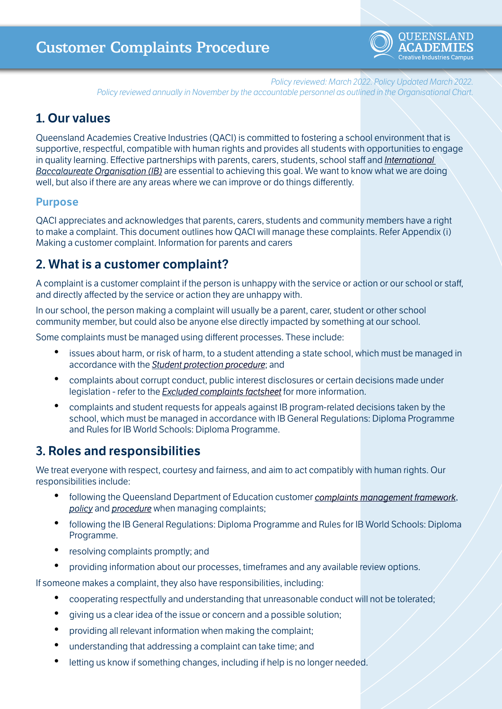

*Policy reviewed: March 2022. Policy Updated March 2022. Policy reviewed annually in November by the accountable personnel as outlined in the Organisational Chart.*

### **1. Our values**

Queensland Academies Creative Industries (QACI) is committed to fostering a school environment that is supportive, respectful, compatible with human rights and provides all students with opportunities to engage in quality learning. Effective partnerships with parents, carers, students, school staff and *[International](https://ibo.org/)  [Baccalaureate Organisation \(IB\)](https://ibo.org/)* are essential to achieving this goal. We want to know what we are doing well, but also if there are any areas where we can improve or do things differently.

### **Purpose**

QACI appreciates and acknowledges that parents, carers, students and community members have a right to make a complaint. This document outlines how QACI will manage these complaints. Refer Appendix (i) Making a customer complaint. Information for parents and carers

### **2. What is a customer complaint?**

A complaint is a customer complaint if the person is unhappy with the service or action or our school or staff, and directly affected by the service or action they are unhappy with.

In our school, the person making a complaint will usually be a parent, carer, student or other school community member, but could also be anyone else directly impacted by something at our school.

Some complaints must be managed using different processes. These include:

- issues about harm, or risk of harm, to a student attending a state school, which must be managed in accordance with the *[Student protection procedure](https://ppr.qed.qld.gov.au/pp/student-protection-procedure)*; and
- complaints about corrupt conduct, public interest disclosures or certain decisions made under legislation - refer to the *[Excluded complaints factsheet](https://ppr.qed.qld.gov.au/attachment/excluded-complaints-factsheet.pdf)* for more information.
- complaints and student requests for appeals against IB program-related decisions taken by the school, which must be managed in accordance with IB General Regulations: Diploma Programme and Rules for IB World Schools: Diploma Programme.

# **3. Roles and responsibilities**

We treat everyone with respect, courtesy and fairness, and aim to act compatibly with human rights. Our responsibilities include:

- following the Queensland Department of Education customer *[complaints management framework](https://ppr.qed.qld.gov.au/attachment/customer-complaints-management-framework.pdf)*, *[policy](https://ppr.qed.qld.gov.au/pp/customer-complaints-management-policy)* and *[procedure](https://ppr.qed.qld.gov.au/pp/customer-complaints-management-procedure)* when managing complaints;
- following the IB General Regulations: Diploma Programme and Rules for IB World Schools: Diploma Programme.
- resolving complaints promptly; and
- providing information about our processes, timeframes and any available review options.

If someone makes a complaint, they also have responsibilities, including:

- cooperating respectfully and understanding that unreasonable conduct will not be tolerated;
- giving us a clear idea of the issue or concern and a possible solution;
- providing all relevant information when making the complaint;
- understanding that addressing a complaint can take time; and
- letting us know if something changes, including if help is no longer needed.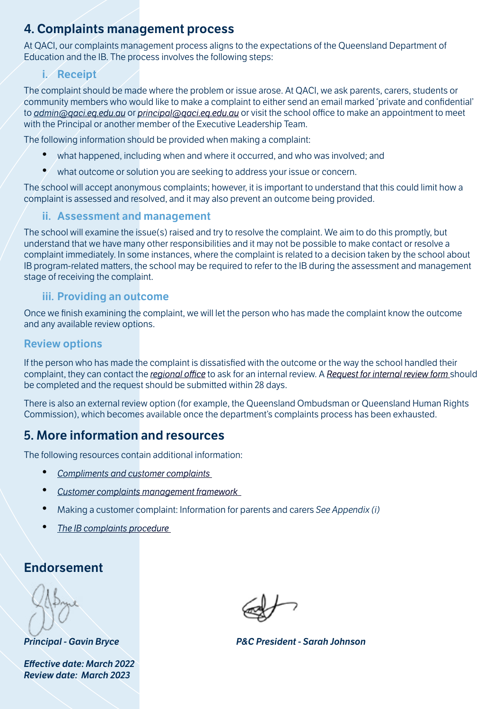# **4. Complaints management process**

At QACI, our complaints management process aligns to the expectations of the Queensland Department of Education and the IB. The process involves the following steps:

#### **i. Receipt**

The complaint should be made where the problem or issue arose. At QACI, we ask parents, carers, students or community members who would like to make a complaint to either send an email marked 'private and confidential' to *[admin@qaci.eq.edu.au](mailto:admin@qaci.eq.edu.au)* or *[principal@qaci.eq.edu.au](mailto:principal@qaci.eq.edu.au)* or visit the school office to make an appointment to meet with the Principal or another member of the Executive Leadership Team.

The following information should be provided when making a complaint:

- what happened, including when and where it occurred, and who was involved; and
- what outcome or solution you are seeking to address your issue or concern.

The school will accept anonymous complaints; however, it is important to understand that this could limit how a complaint is assessed and resolved, and it may also prevent an outcome being provided.

### **ii. Assessment and management**

The school will examine the issue(s) raised and try to resolve the complaint. We aim to do this promptly, but understand that we have many other responsibilities and it may not be possible to make contact or resolve a complaint immediately. In some instances, where the complaint is related to a decision taken by the school about IB program-related matters, the school may be required to refer to the IB during the assessment and management stage of receiving the complaint.

### **iii. Providing an outcome**

Once we finish examining the complaint, we will let the person who has made the complaint know the outcome and any available review options.

#### **Review options**

If the person who has made the complaint is dissatisfied with the outcome or the way the school handled their complaint, they can contact the *[regional office](https://education.qld.gov.au/contact-us/state-schools-regional-contacts)* to ask for an internal review. A *[Request for internal review form](https://ppr.qed.qld.gov.au/pp/customer-complaints-management-internal-review-procedure)* should be completed and the request should be submitted within 28 days.

There is also an external review option (for example, the Queensland Ombudsman or Queensland Human Rights Commission), which becomes available once the department's complaints process has been exhausted.

# **5. More information and resources**

The following resources contain additional information:

- *[Compliments and customer complaints](https://qed.qld.gov.au/contact/customer-compliments-complaints)*
- *[Customer complaints management framework](https://ppr.qed.qld.gov.au/attachment/customer-complaints-management-framework.pdf)*
- Making a customer complaint: Information for parents and carers *See Appendix (i)*
- *[The IB complaints procedure](https://ibo.org/contentassets/fab8ccef45b743c0a68de6f9ea989385/ib-complaints-procedure-nov-2018-en.pdf)*

### **Endorsement**

*Effective date: March 2022 Review date: March 2023*

*Principal - Gavin Bryce P&C President - Sarah Johnson*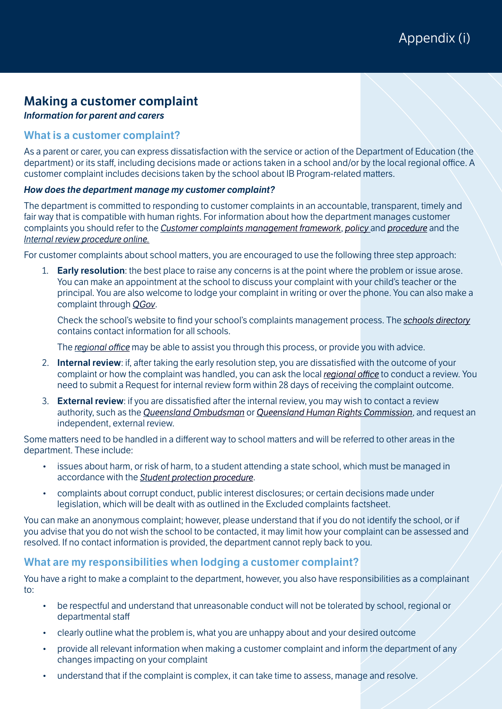### **Making a customer complaint**

*Information for parent and carers*

#### **What is a customer complaint?**

As a parent or carer, you can express dissatisfaction with the service or action of the Department of Education (the department) or its staff, including decisions made or actions taken in a school and/or by the local regional office. A customer complaint includes decisions taken by the school about IB Program-related matters.

#### *How does the department manage my customer complaint?*

The department is committed to responding to customer complaints in an accountable, transparent, timely and fair way that is compatible with human rights. For information about how the department manages customer complaints you should refer to the *[Customer complaints management framework](https://ppr.qed.qld.gov.au/attachment/customer-complaints-management-framework.pdf)*, *[policy](https://ppr.qed.qld.gov.au/pp/customer-complaints-management-policy)* and *[procedure](https://ppr.qed.qld.gov.au/pp/customer-complaints-management-procedure)* and the *[Internal review procedure online.](https://ppr.qed.qld.gov.au/pp/customer-complaints-management-internal-review-procedure)*

For customer complaints about school matters, you are encouraged to use the following three step approach:

1. **Early resolution**: the best place to raise any concerns is at the point where the problem or issue arose. You can make an appointment at the school to discuss your complaint with your child's teacher or the principal. You are also welcome to lodge your complaint in writing or over the phone. You can also make a complaint through *[QGov](https://www.complaints.services.qld.gov.au/)*.

Check the school's website to find your school's complaints management process. The *[schools directory](https://schoolsdirectory.eq.edu.au/)* contains contact information for all schools.

The *[regional office](https://education.qld.gov.au/contact-us/state-schools-regional-contacts)* may be able to assist you through this process, or provide you with advice.

- 2. **Internal review**: if, after taking the early resolution step, you are dissatisfied with the outcome of your complaint or how the complaint was handled, you can ask the local *[regional office](https://education.qld.gov.au/contact-us/state-schools-regional-contacts)* to conduct a review. You need to submit a Request for internal review form within 28 days of receiving the complaint outcome.
- 3. **External review**: if you are dissatisfied after the internal review, you may wish to contact a review authority, such as the *[Queensland Ombudsman](https://www.ombudsman.qld.gov.au/)* or *[Queensland Human Rights Commission](https://www.qhrc.qld.gov.au/)*, and request an independent, external review.

Some matters need to be handled in a different way to school matters and will be referred to other areas in the department. These include:

- issues about harm, or risk of harm, to a student attending a state school, which must be managed in accordance with the *[Student protection procedure](https://ppr.qed.qld.gov.au/pp/student-protection-procedure)*.
- complaints about corrupt conduct, public interest disclosures; or certain decisions made under legislation, which will be dealt with as outlined in the Excluded complaints factsheet.

You can make an anonymous complaint; however, please understand that if you do not identify the school, or if you advise that you do not wish the school to be contacted, it may limit how your complaint can be assessed and resolved. If no contact information is provided, the department cannot reply back to you.

#### **What are my responsibilities when lodging a customer complaint?**

You have a right to make a complaint to the department, however, you also have responsibilities as a complainant to:

- be respectful and understand that unreasonable conduct will not be tolerated by school, regional or departmental staff
- clearly outline what the problem is, what you are unhappy about and your desired outcome
- provide all relevant information when making a customer complaint and inform the department of any changes impacting on your complaint
- understand that if the complaint is complex, it can take time to assess, manage and resolve.